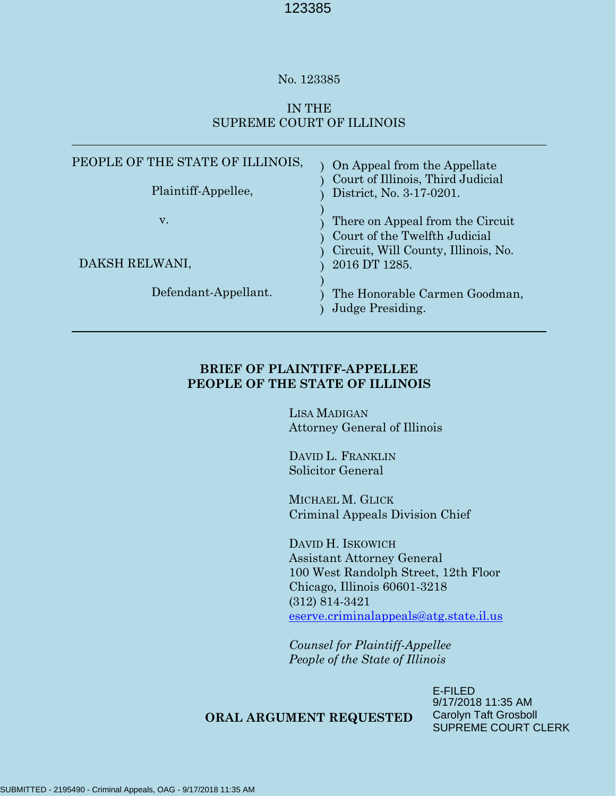#### No. 123385

# IN THE SUPREME COURT OF ILLINOIS

| PEOPLE OF THE STATE OF ILLINOIS,<br>Plaintiff-Appellee, | On Appeal from the Appellate<br>Court of Illinois, Third Judicial<br>District, No. 3-17-0201.                             |
|---------------------------------------------------------|---------------------------------------------------------------------------------------------------------------------------|
| v.<br>DAKSH RELWANI,                                    | There on Appeal from the Circuit<br>Court of the Twelfth Judicial<br>Circuit, Will County, Illinois, No.<br>2016 DT 1285. |
| Defendant-Appellant.                                    | The Honorable Carmen Goodman,<br>Judge Presiding.                                                                         |

### **BRIEF OF PLAINTIFF-APPELLEE PEOPLE OF THE STATE OF ILLINOIS**

LISA MADIGAN Attorney General of Illinois

DAVID L. FRANKLIN Solicitor General

MICHAEL M. GLICK Criminal Appeals Division Chief

DAVID H. ISKOWICH Assistant Attorney General 100 West Randolph Street, 12th Floor Chicago, Illinois 60601-3218 (312) 814-3421 [eserve.criminalappeals@atg.state.il.us](mailto:eserve.criminalappeals@atg.state.il.us)

*Counsel for Plaintiff-Appellee People of the State of Illinois*

#### **ORAL ARGUMENT REQUESTED**

E-FILED 9/17/2018 11:35 AM Carolyn Taft Grosboll SUPREME COURT CLERK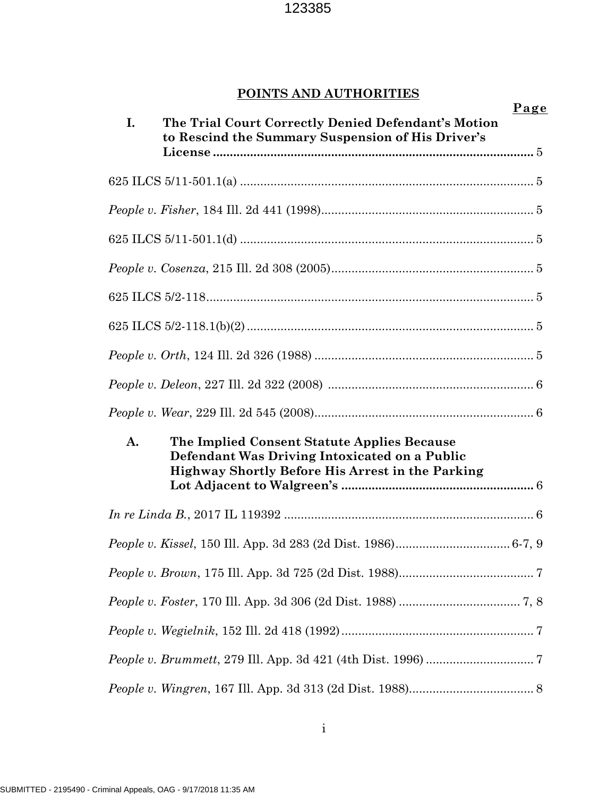# **POINTS AND AUTHORITIES**

| I. | Page<br>The Trial Court Correctly Denied Defendant's Motion<br>to Rescind the Summary Suspension of His Driver's                                        |  |
|----|---------------------------------------------------------------------------------------------------------------------------------------------------------|--|
|    |                                                                                                                                                         |  |
|    |                                                                                                                                                         |  |
|    |                                                                                                                                                         |  |
|    |                                                                                                                                                         |  |
|    |                                                                                                                                                         |  |
|    |                                                                                                                                                         |  |
|    |                                                                                                                                                         |  |
|    |                                                                                                                                                         |  |
|    |                                                                                                                                                         |  |
|    |                                                                                                                                                         |  |
| A. | The Implied Consent Statute Applies Because<br>Defendant Was Driving Intoxicated on a Public<br><b>Highway Shortly Before His Arrest in the Parking</b> |  |
|    |                                                                                                                                                         |  |
|    |                                                                                                                                                         |  |
|    |                                                                                                                                                         |  |
|    |                                                                                                                                                         |  |
|    |                                                                                                                                                         |  |
|    |                                                                                                                                                         |  |
|    |                                                                                                                                                         |  |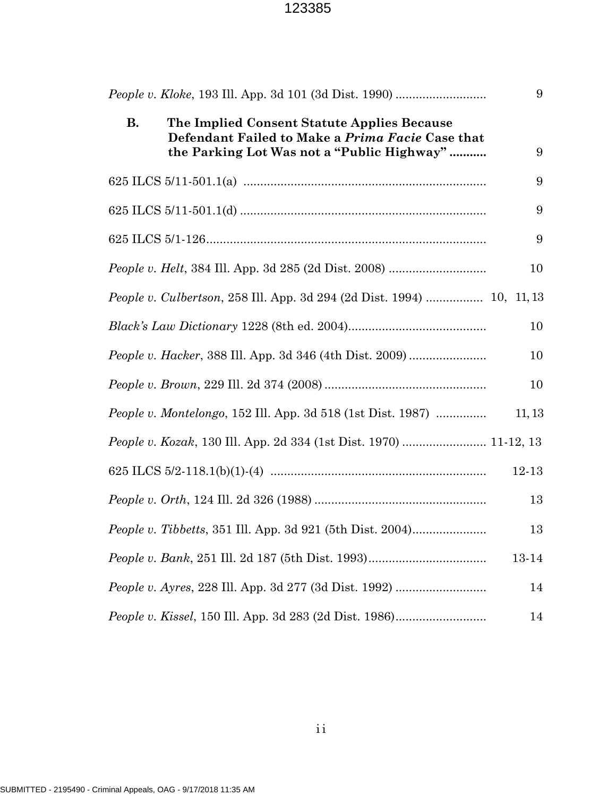|           |                                                                                                                                               | 9      |
|-----------|-----------------------------------------------------------------------------------------------------------------------------------------------|--------|
| <b>B.</b> | The Implied Consent Statute Applies Because<br>Defendant Failed to Make a Prima Facie Case that<br>the Parking Lot Was not a "Public Highway" | 9      |
|           |                                                                                                                                               | 9      |
|           |                                                                                                                                               | 9      |
|           |                                                                                                                                               | 9      |
|           |                                                                                                                                               | 10     |
|           | People v. Culbertson, 258 Ill. App. 3d 294 (2d Dist. 1994)  10, 11, 13                                                                        |        |
|           |                                                                                                                                               | 10     |
|           |                                                                                                                                               | 10     |
|           |                                                                                                                                               | 10     |
|           | <i>People v. Montelongo</i> , 152 Ill. App. 3d 518 (1st Dist. 1987)                                                                           | 11, 13 |
|           | People v. Kozak, 130 Ill. App. 2d 334 (1st Dist. 1970)  11-12, 13                                                                             |        |
|           |                                                                                                                                               | 12-13  |
|           |                                                                                                                                               | 13     |
|           |                                                                                                                                               | 13     |
|           |                                                                                                                                               | 13-14  |
|           |                                                                                                                                               | 14     |
|           |                                                                                                                                               | 14     |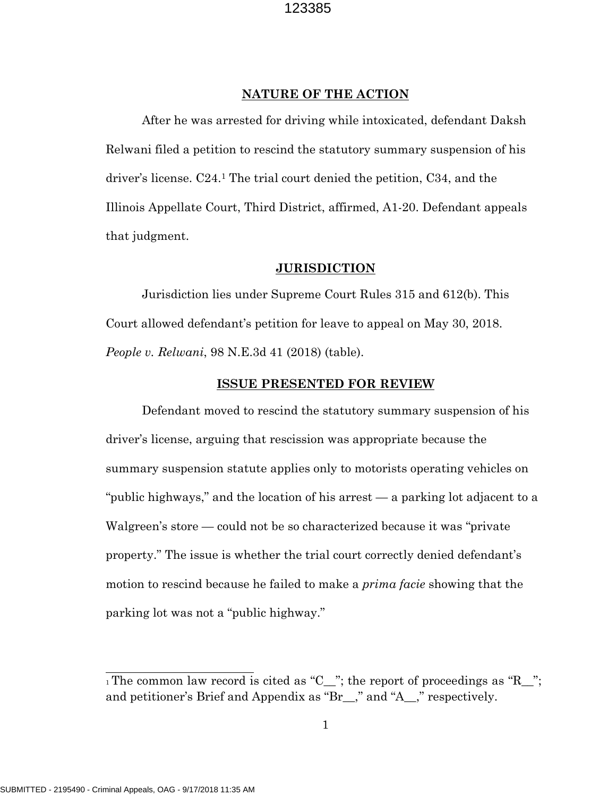#### **NATURE OF THE ACTION**

After he was arrested for driving while intoxicated, defendant Daksh Relwani filed a petition to rescind the statutory summary suspension of his driver's license. C24.<sup>1</sup> The trial court denied the petition, C34, and the Illinois Appellate Court, Third District, affirmed, A1-20. Defendant appeals that judgment.

#### **JURISDICTION**

Jurisdiction lies under Supreme Court Rules 315 and 612(b). This Court allowed defendant's petition for leave to appeal on May 30, 2018. *People v. Relwani*, 98 N.E.3d 41 (2018) (table).

#### **ISSUE PRESENTED FOR REVIEW**

Defendant moved to rescind the statutory summary suspension of his driver's license, arguing that rescission was appropriate because the summary suspension statute applies only to motorists operating vehicles on "public highways," and the location of his arrest — a parking lot adjacent to a Walgreen's store — could not be so characterized because it was "private property." The issue is whether the trial court correctly denied defendant's motion to rescind because he failed to make a *prima facie* showing that the parking lot was not a "public highway."

 $_1$  The common law record is cited as "C\_"; the report of proceedings as "R\_"; and petitioner's Brief and Appendix as "Br\_\_," and "A\_\_," respectively.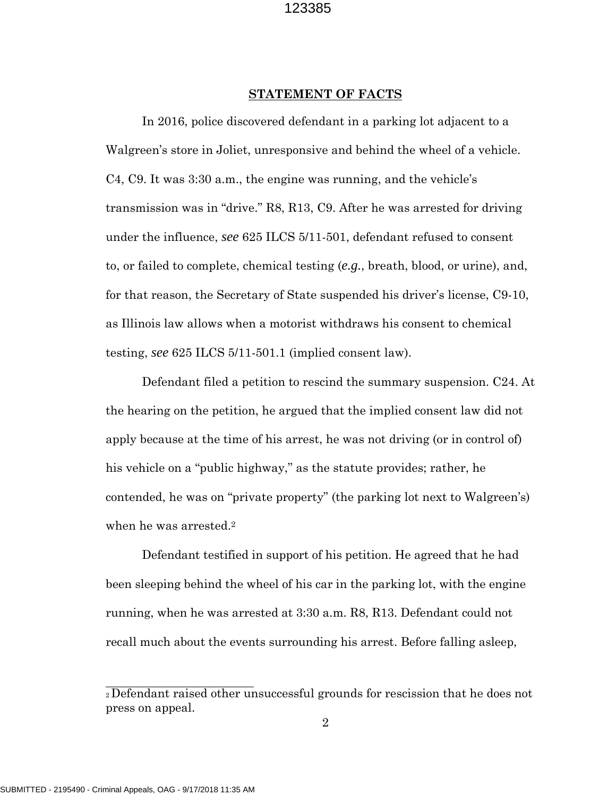#### **STATEMENT OF FACTS**

In 2016, police discovered defendant in a parking lot adjacent to a Walgreen's store in Joliet, unresponsive and behind the wheel of a vehicle. C4, C9. It was 3:30 a.m., the engine was running, and the vehicle's transmission was in "drive." R8, R13, C9. After he was arrested for driving under the influence, *see* 625 ILCS 5/11-501, defendant refused to consent to, or failed to complete, chemical testing (*e.g.*, breath, blood, or urine), and, for that reason, the Secretary of State suspended his driver's license, C9-10, as Illinois law allows when a motorist withdraws his consent to chemical testing, *see* 625 ILCS 5/11-501.1 (implied consent law).

Defendant filed a petition to rescind the summary suspension. C24. At the hearing on the petition, he argued that the implied consent law did not apply because at the time of his arrest, he was not driving (or in control of) his vehicle on a "public highway," as the statute provides; rather, he contended, he was on "private property" (the parking lot next to Walgreen's) when he was arrested.<sup>2</sup>

Defendant testified in support of his petition. He agreed that he had been sleeping behind the wheel of his car in the parking lot, with the engine running, when he was arrested at 3:30 a.m. R8, R13. Defendant could not recall much about the events surrounding his arrest. Before falling asleep,

<sup>2</sup>Defendant raised other unsuccessful grounds for rescission that he does not press on appeal.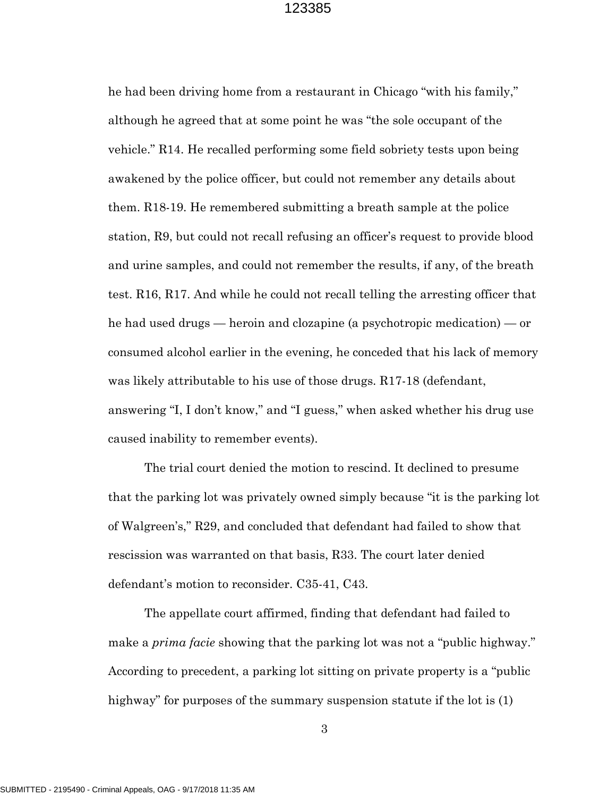he had been driving home from a restaurant in Chicago "with his family," although he agreed that at some point he was "the sole occupant of the vehicle." R14. He recalled performing some field sobriety tests upon being awakened by the police officer, but could not remember any details about them. R18-19. He remembered submitting a breath sample at the police station, R9, but could not recall refusing an officer's request to provide blood and urine samples, and could not remember the results, if any, of the breath test. R16, R17. And while he could not recall telling the arresting officer that he had used drugs — heroin and clozapine (a psychotropic medication) — or consumed alcohol earlier in the evening, he conceded that his lack of memory was likely attributable to his use of those drugs. R17-18 (defendant, answering "I, I don't know," and "I guess," when asked whether his drug use caused inability to remember events).

The trial court denied the motion to rescind. It declined to presume that the parking lot was privately owned simply because "it is the parking lot of Walgreen's," R29, and concluded that defendant had failed to show that rescission was warranted on that basis, R33. The court later denied defendant's motion to reconsider. C35-41, C43.

The appellate court affirmed, finding that defendant had failed to make a *prima facie* showing that the parking lot was not a "public highway." According to precedent, a parking lot sitting on private property is a "public highway" for purposes of the summary suspension statute if the lot is (1)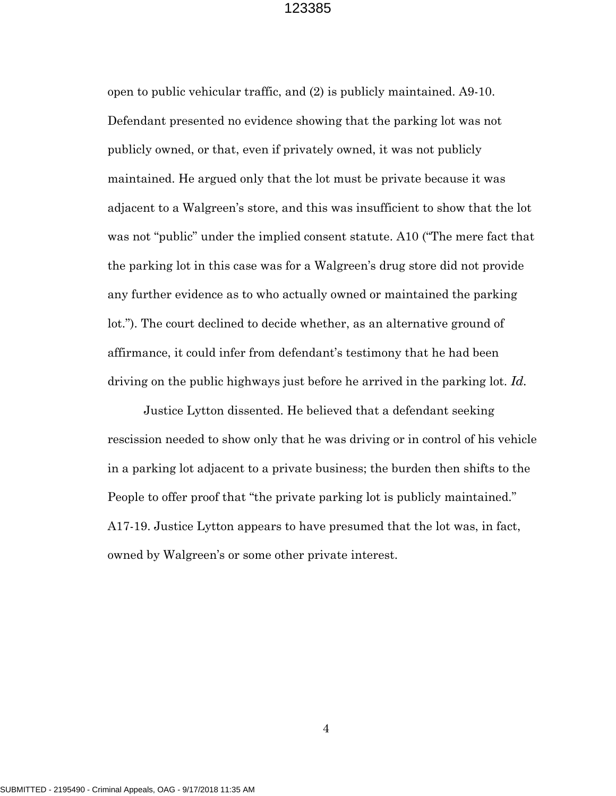open to public vehicular traffic, and (2) is publicly maintained. A9-10. Defendant presented no evidence showing that the parking lot was not publicly owned, or that, even if privately owned, it was not publicly maintained. He argued only that the lot must be private because it was adjacent to a Walgreen's store, and this was insufficient to show that the lot was not "public" under the implied consent statute. A10 ("The mere fact that the parking lot in this case was for a Walgreen's drug store did not provide any further evidence as to who actually owned or maintained the parking lot."). The court declined to decide whether, as an alternative ground of affirmance, it could infer from defendant's testimony that he had been driving on the public highways just before he arrived in the parking lot. *Id.*

Justice Lytton dissented. He believed that a defendant seeking rescission needed to show only that he was driving or in control of his vehicle in a parking lot adjacent to a private business; the burden then shifts to the People to offer proof that "the private parking lot is publicly maintained." A17-19. Justice Lytton appears to have presumed that the lot was, in fact, owned by Walgreen's or some other private interest.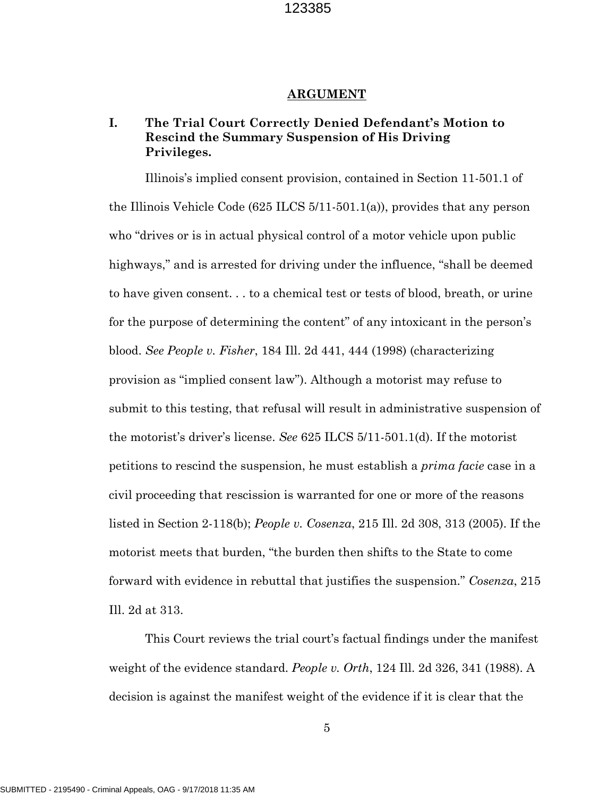#### **ARGUMENT**

### **I. The Trial Court Correctly Denied Defendant's Motion to Rescind the Summary Suspension of His Driving Privileges.**

Illinois's implied consent provision, contained in Section 11-501.1 of the Illinois Vehicle Code  $(625$  ILCS  $5/11-501.1(a)$ , provides that any person who "drives or is in actual physical control of a motor vehicle upon public highways," and is arrested for driving under the influence, "shall be deemed to have given consent. . . to a chemical test or tests of blood, breath, or urine for the purpose of determining the content" of any intoxicant in the person's blood. *See People v. Fisher*, 184 Ill. 2d 441, 444 (1998) (characterizing provision as "implied consent law"). Although a motorist may refuse to submit to this testing, that refusal will result in administrative suspension of the motorist's driver's license. *See* 625 ILCS 5/11-501.1(d). If the motorist petitions to rescind the suspension, he must establish a *prima facie* case in a civil proceeding that rescission is warranted for one or more of the reasons listed in Section 2-118(b); *People v. Cosenza*, 215 Ill. 2d 308, 313 (2005). If the motorist meets that burden, "the burden then shifts to the State to come forward with evidence in rebuttal that justifies the suspension." *Cosenza*, 215 Ill. 2d at 313.

This Court reviews the trial court's factual findings under the manifest weight of the evidence standard. *People v. Orth*, 124 Ill. 2d 326, 341 (1988). A decision is against the manifest weight of the evidence if it is clear that the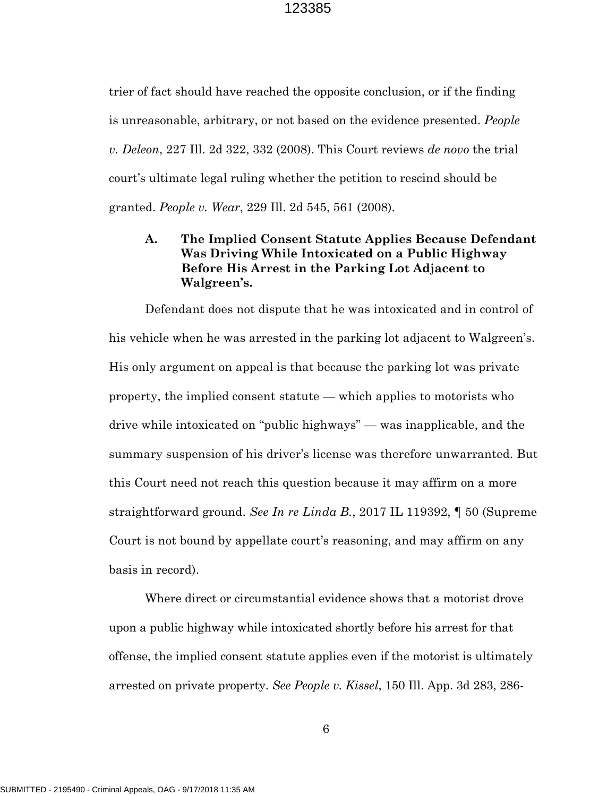trier of fact should have reached the opposite conclusion, or if the finding is unreasonable, arbitrary, or not based on the evidence presented. *People v. Deleon*, 227 Ill. 2d 322, 332 (2008). This Court reviews *de novo* the trial court's ultimate legal ruling whether the petition to rescind should be granted. *People v. Wear*, 229 Ill. 2d 545, 561 (2008).

### **A. The Implied Consent Statute Applies Because Defendant Was Driving While Intoxicated on a Public Highway Before His Arrest in the Parking Lot Adjacent to Walgreen's.**

Defendant does not dispute that he was intoxicated and in control of his vehicle when he was arrested in the parking lot adjacent to Walgreen's. His only argument on appeal is that because the parking lot was private property, the implied consent statute — which applies to motorists who drive while intoxicated on "public highways" — was inapplicable, and the summary suspension of his driver's license was therefore unwarranted. But this Court need not reach this question because it may affirm on a more straightforward ground. *See In re Linda B.*, 2017 IL 119392, ¶ 50 (Supreme Court is not bound by appellate court's reasoning, and may affirm on any basis in record).

Where direct or circumstantial evidence shows that a motorist drove upon a public highway while intoxicated shortly before his arrest for that offense, the implied consent statute applies even if the motorist is ultimately arrested on private property. *See People v. Kissel*, 150 Ill. App. 3d 283, 286-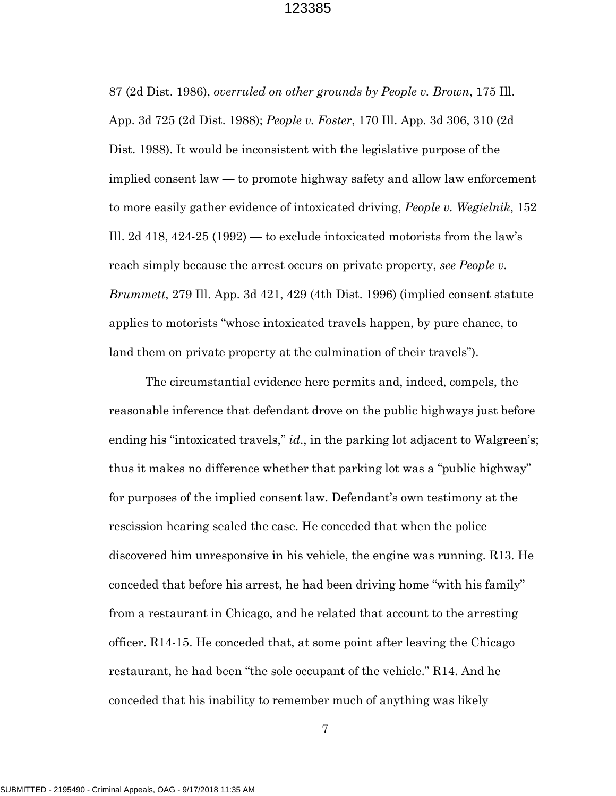87 (2d Dist. 1986), *overruled on other grounds by People v. Brown*, 175 Ill. App. 3d 725 (2d Dist. 1988); *People v. Foster*, 170 Ill. App. 3d 306, 310 (2d Dist. 1988). It would be inconsistent with the legislative purpose of the implied consent law — to promote highway safety and allow law enforcement to more easily gather evidence of intoxicated driving, *People v. Wegielnik*, 152 Ill. 2d 418, 424-25 (1992) — to exclude intoxicated motorists from the law's reach simply because the arrest occurs on private property, *see People v. Brummett*, 279 Ill. App. 3d 421, 429 (4th Dist. 1996) (implied consent statute applies to motorists "whose intoxicated travels happen, by pure chance, to land them on private property at the culmination of their travels").

The circumstantial evidence here permits and, indeed, compels, the reasonable inference that defendant drove on the public highways just before ending his "intoxicated travels," *id.*, in the parking lot adjacent to Walgreen's; thus it makes no difference whether that parking lot was a "public highway" for purposes of the implied consent law. Defendant's own testimony at the rescission hearing sealed the case. He conceded that when the police discovered him unresponsive in his vehicle, the engine was running. R13. He conceded that before his arrest, he had been driving home "with his family" from a restaurant in Chicago, and he related that account to the arresting officer. R14-15. He conceded that, at some point after leaving the Chicago restaurant, he had been "the sole occupant of the vehicle." R14. And he conceded that his inability to remember much of anything was likely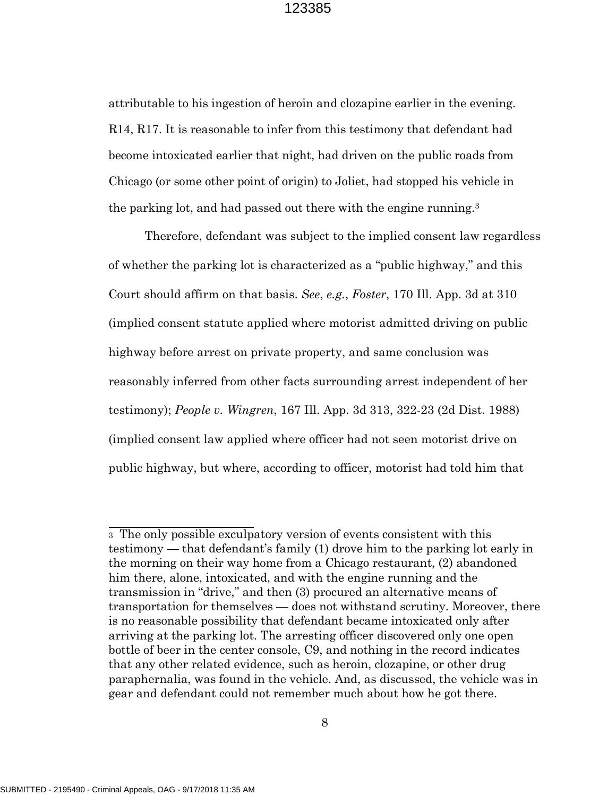attributable to his ingestion of heroin and clozapine earlier in the evening. R14, R17. It is reasonable to infer from this testimony that defendant had become intoxicated earlier that night, had driven on the public roads from Chicago (or some other point of origin) to Joliet, had stopped his vehicle in the parking lot, and had passed out there with the engine running.<sup>3</sup>

Therefore, defendant was subject to the implied consent law regardless of whether the parking lot is characterized as a "public highway," and this Court should affirm on that basis. *See*, *e.g.*, *Foster*, 170 Ill. App. 3d at 310 (implied consent statute applied where motorist admitted driving on public highway before arrest on private property, and same conclusion was reasonably inferred from other facts surrounding arrest independent of her testimony); *People v. Wingren*, 167 Ill. App. 3d 313, 322-23 (2d Dist. 1988) (implied consent law applied where officer had not seen motorist drive on public highway, but where, according to officer, motorist had told him that

<sup>3</sup> The only possible exculpatory version of events consistent with this testimony — that defendant's family (1) drove him to the parking lot early in the morning on their way home from a Chicago restaurant, (2) abandoned him there, alone, intoxicated, and with the engine running and the transmission in "drive," and then (3) procured an alternative means of transportation for themselves — does not withstand scrutiny. Moreover, there is no reasonable possibility that defendant became intoxicated only after arriving at the parking lot. The arresting officer discovered only one open bottle of beer in the center console, C9, and nothing in the record indicates that any other related evidence, such as heroin, clozapine, or other drug paraphernalia, was found in the vehicle. And, as discussed, the vehicle was in gear and defendant could not remember much about how he got there.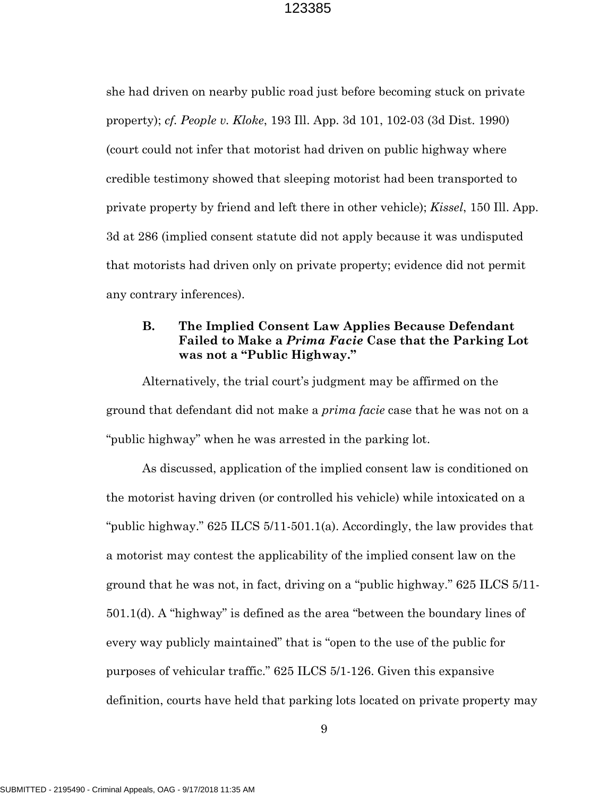she had driven on nearby public road just before becoming stuck on private property); *cf. People v. Kloke*, 193 Ill. App. 3d 101, 102-03 (3d Dist. 1990) (court could not infer that motorist had driven on public highway where credible testimony showed that sleeping motorist had been transported to private property by friend and left there in other vehicle); *Kissel*, 150 Ill. App. 3d at 286 (implied consent statute did not apply because it was undisputed that motorists had driven only on private property; evidence did not permit any contrary inferences).

## **B. The Implied Consent Law Applies Because Defendant Failed to Make a** *Prima Facie* **Case that the Parking Lot was not a "Public Highway."**

Alternatively, the trial court's judgment may be affirmed on the ground that defendant did not make a *prima facie* case that he was not on a "public highway" when he was arrested in the parking lot.

As discussed, application of the implied consent law is conditioned on the motorist having driven (or controlled his vehicle) while intoxicated on a "public highway." 625 ILCS 5/11-501.1(a). Accordingly, the law provides that a motorist may contest the applicability of the implied consent law on the ground that he was not, in fact, driving on a "public highway." 625 ILCS 5/11- 501.1(d). A "highway" is defined as the area "between the boundary lines of every way publicly maintained" that is "open to the use of the public for purposes of vehicular traffic." 625 ILCS 5/1-126. Given this expansive definition, courts have held that parking lots located on private property may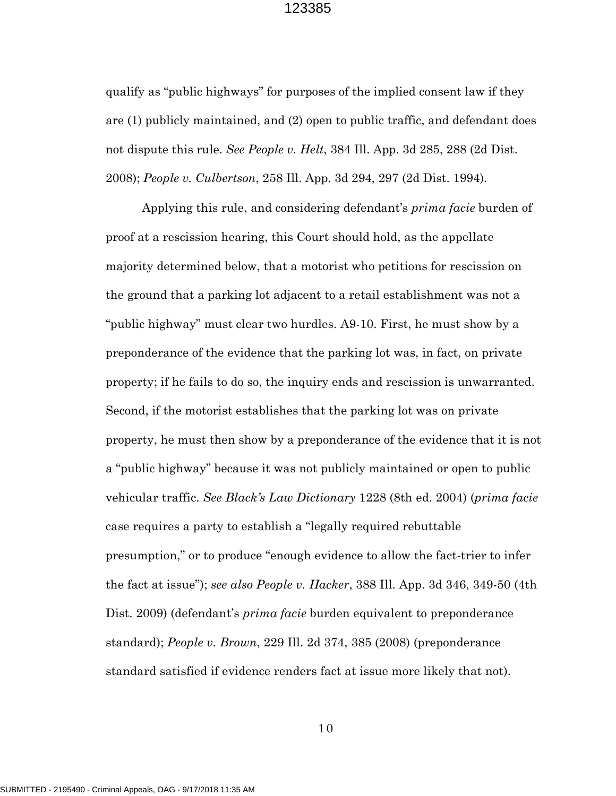qualify as "public highways" for purposes of the implied consent law if they are (1) publicly maintained, and (2) open to public traffic, and defendant does not dispute this rule. *See People v. Helt*, 384 Ill. App. 3d 285, 288 (2d Dist. 2008); *People v. Culbertson*, 258 Ill. App. 3d 294, 297 (2d Dist. 1994).

Applying this rule, and considering defendant's *prima facie* burden of proof at a rescission hearing, this Court should hold, as the appellate majority determined below, that a motorist who petitions for rescission on the ground that a parking lot adjacent to a retail establishment was not a "public highway" must clear two hurdles. A9-10. First, he must show by a preponderance of the evidence that the parking lot was, in fact, on private property; if he fails to do so, the inquiry ends and rescission is unwarranted. Second, if the motorist establishes that the parking lot was on private property, he must then show by a preponderance of the evidence that it is not a "public highway" because it was not publicly maintained or open to public vehicular traffic. *See Black's Law Dictionary* 1228 (8th ed. 2004) (*prima facie* case requires a party to establish a "legally required rebuttable presumption," or to produce "enough evidence to allow the fact-trier to infer the fact at issue"); *see also People v. Hacker*, 388 Ill. App. 3d 346, 349-50 (4th Dist. 2009) (defendant's *prima facie* burden equivalent to preponderance standard); *People v. Brown*, 229 Ill. 2d 374, 385 (2008) (preponderance standard satisfied if evidence renders fact at issue more likely that not).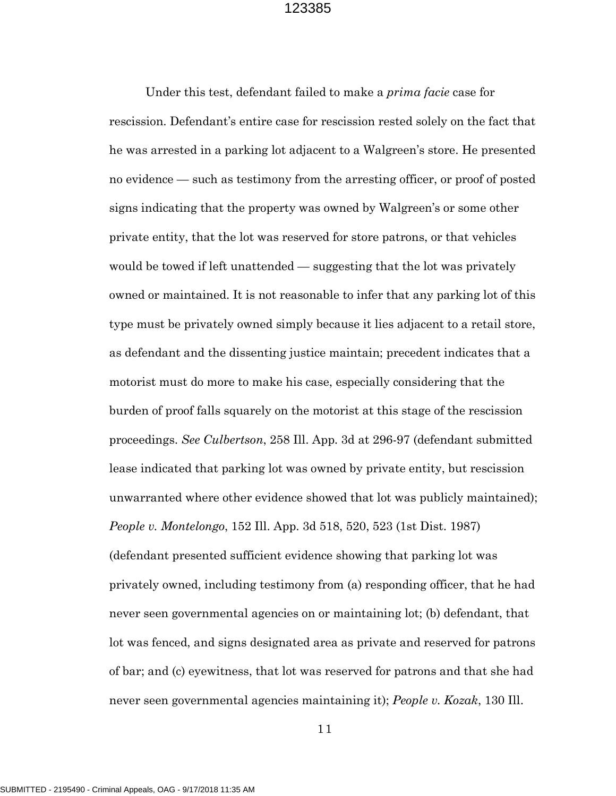Under this test, defendant failed to make a *prima facie* case for rescission. Defendant's entire case for rescission rested solely on the fact that he was arrested in a parking lot adjacent to a Walgreen's store. He presented no evidence — such as testimony from the arresting officer, or proof of posted signs indicating that the property was owned by Walgreen's or some other private entity, that the lot was reserved for store patrons, or that vehicles would be towed if left unattended — suggesting that the lot was privately owned or maintained. It is not reasonable to infer that any parking lot of this type must be privately owned simply because it lies adjacent to a retail store, as defendant and the dissenting justice maintain; precedent indicates that a motorist must do more to make his case, especially considering that the burden of proof falls squarely on the motorist at this stage of the rescission proceedings. *See Culbertson*, 258 Ill. App. 3d at 296-97 (defendant submitted lease indicated that parking lot was owned by private entity, but rescission unwarranted where other evidence showed that lot was publicly maintained); *People v. Montelongo*, 152 Ill. App. 3d 518, 520, 523 (1st Dist. 1987) (defendant presented sufficient evidence showing that parking lot was privately owned, including testimony from (a) responding officer, that he had never seen governmental agencies on or maintaining lot; (b) defendant, that lot was fenced, and signs designated area as private and reserved for patrons of bar; and (c) eyewitness, that lot was reserved for patrons and that she had never seen governmental agencies maintaining it); *People v. Kozak*, 130 Ill.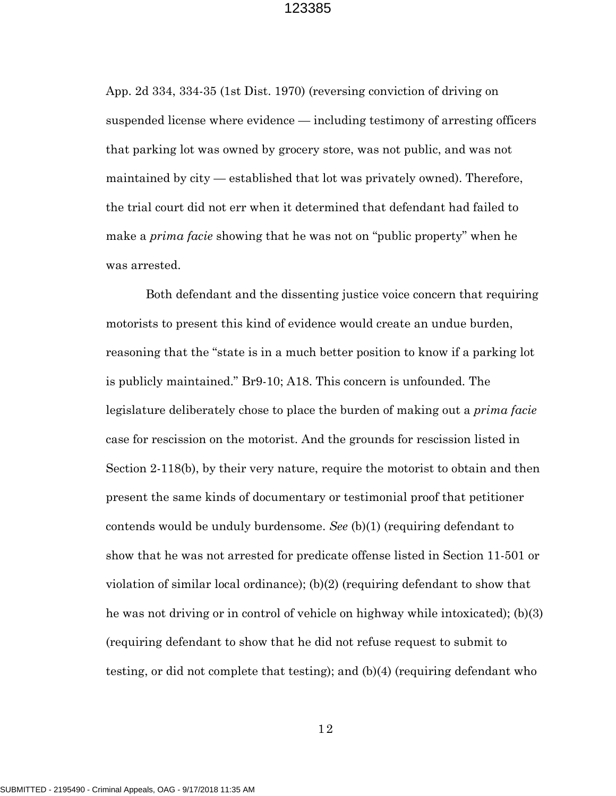App. 2d 334, 334-35 (1st Dist. 1970) (reversing conviction of driving on suspended license where evidence — including testimony of arresting officers that parking lot was owned by grocery store, was not public, and was not maintained by city — established that lot was privately owned). Therefore, the trial court did not err when it determined that defendant had failed to make a *prima facie* showing that he was not on "public property" when he was arrested.

Both defendant and the dissenting justice voice concern that requiring motorists to present this kind of evidence would create an undue burden, reasoning that the "state is in a much better position to know if a parking lot is publicly maintained." Br9-10; A18. This concern is unfounded. The legislature deliberately chose to place the burden of making out a *prima facie* case for rescission on the motorist. And the grounds for rescission listed in Section 2-118(b), by their very nature, require the motorist to obtain and then present the same kinds of documentary or testimonial proof that petitioner contends would be unduly burdensome. *See* (b)(1) (requiring defendant to show that he was not arrested for predicate offense listed in Section 11-501 or violation of similar local ordinance); (b)(2) (requiring defendant to show that he was not driving or in control of vehicle on highway while intoxicated); (b)(3) (requiring defendant to show that he did not refuse request to submit to testing, or did not complete that testing); and (b)(4) (requiring defendant who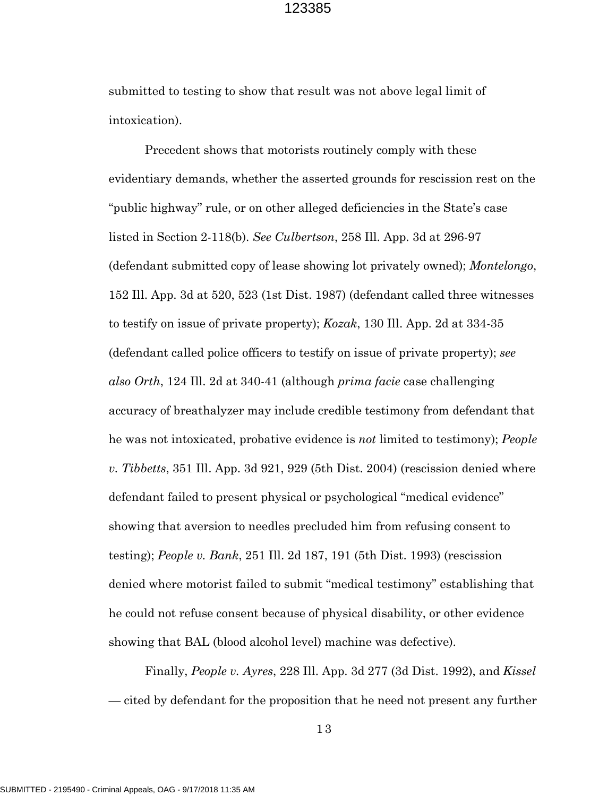submitted to testing to show that result was not above legal limit of intoxication).

Precedent shows that motorists routinely comply with these evidentiary demands, whether the asserted grounds for rescission rest on the "public highway" rule, or on other alleged deficiencies in the State's case listed in Section 2-118(b). *See Culbertson*, 258 Ill. App. 3d at 296-97 (defendant submitted copy of lease showing lot privately owned); *Montelongo*, 152 Ill. App. 3d at 520, 523 (1st Dist. 1987) (defendant called three witnesses to testify on issue of private property); *Kozak*, 130 Ill. App. 2d at 334-35 (defendant called police officers to testify on issue of private property); *see also Orth*, 124 Ill. 2d at 340-41 (although *prima facie* case challenging accuracy of breathalyzer may include credible testimony from defendant that he was not intoxicated, probative evidence is *not* limited to testimony); *People v. Tibbetts*, 351 Ill. App. 3d 921, 929 (5th Dist. 2004) (rescission denied where defendant failed to present physical or psychological "medical evidence" showing that aversion to needles precluded him from refusing consent to testing); *People v. Bank*, 251 Ill. 2d 187, 191 (5th Dist. 1993) (rescission denied where motorist failed to submit "medical testimony" establishing that he could not refuse consent because of physical disability, or other evidence showing that BAL (blood alcohol level) machine was defective).

Finally, *People v. Ayres*, 228 Ill. App. 3d 277 (3d Dist. 1992), and *Kissel* — cited by defendant for the proposition that he need not present any further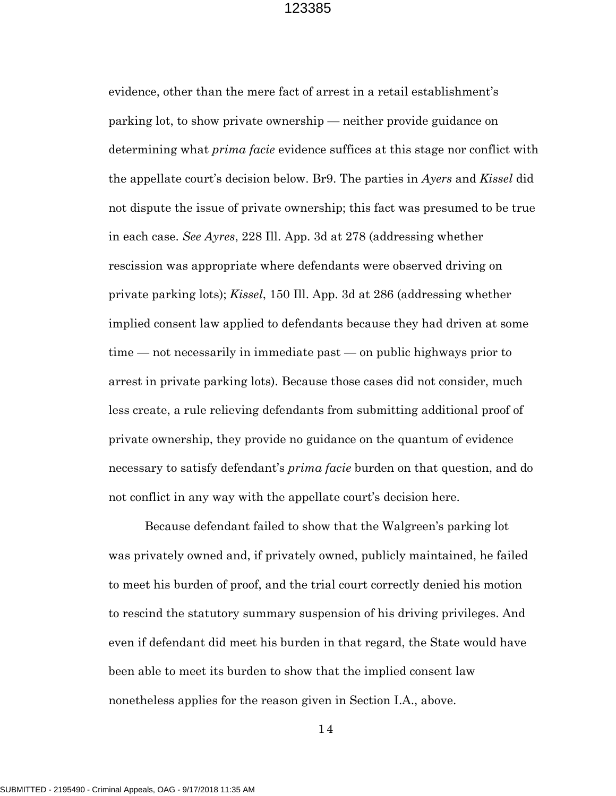evidence, other than the mere fact of arrest in a retail establishment's parking lot, to show private ownership — neither provide guidance on determining what *prima facie* evidence suffices at this stage nor conflict with the appellate court's decision below. Br9. The parties in *Ayers* and *Kissel* did not dispute the issue of private ownership; this fact was presumed to be true in each case. *See Ayres*, 228 Ill. App. 3d at 278 (addressing whether rescission was appropriate where defendants were observed driving on private parking lots); *Kissel*, 150 Ill. App. 3d at 286 (addressing whether implied consent law applied to defendants because they had driven at some time — not necessarily in immediate past — on public highways prior to arrest in private parking lots). Because those cases did not consider, much less create, a rule relieving defendants from submitting additional proof of private ownership, they provide no guidance on the quantum of evidence necessary to satisfy defendant's *prima facie* burden on that question, and do not conflict in any way with the appellate court's decision here.

Because defendant failed to show that the Walgreen's parking lot was privately owned and, if privately owned, publicly maintained, he failed to meet his burden of proof, and the trial court correctly denied his motion to rescind the statutory summary suspension of his driving privileges. And even if defendant did meet his burden in that regard, the State would have been able to meet its burden to show that the implied consent law nonetheless applies for the reason given in Section I.A., above.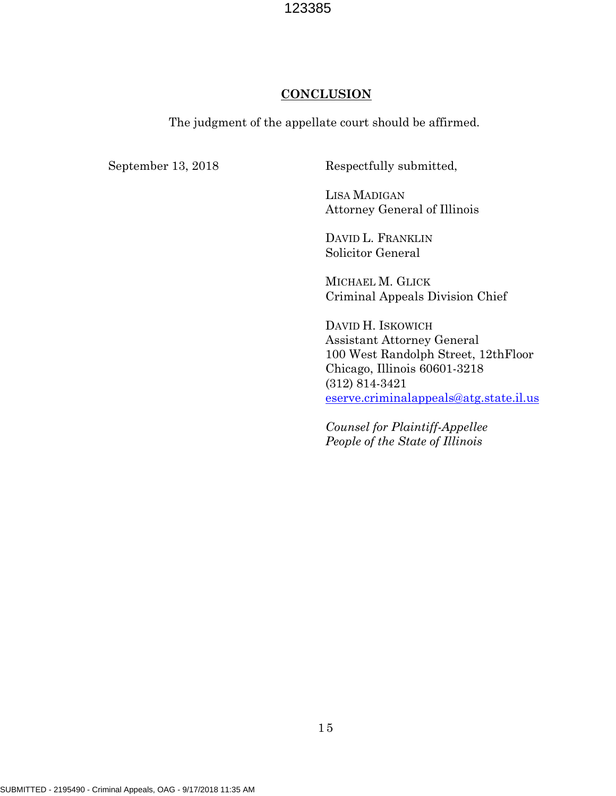### **CONCLUSION**

The judgment of the appellate court should be affirmed.

September 13, 2018 Respectfully submitted,

LISA MADIGAN Attorney General of Illinois

DAVID L. FRANKLIN Solicitor General

MICHAEL M. GLICK Criminal Appeals Division Chief

DAVID H. ISKOWICH Assistant Attorney General 100 West Randolph Street, 12thFloor Chicago, Illinois 60601-3218 (312) 814-3421 [eserve.criminalappeals@atg.state.il.us](mailto:eserve.criminalappeals@atg.state.il.us)

*Counsel for Plaintiff-Appellee People of the State of Illinois*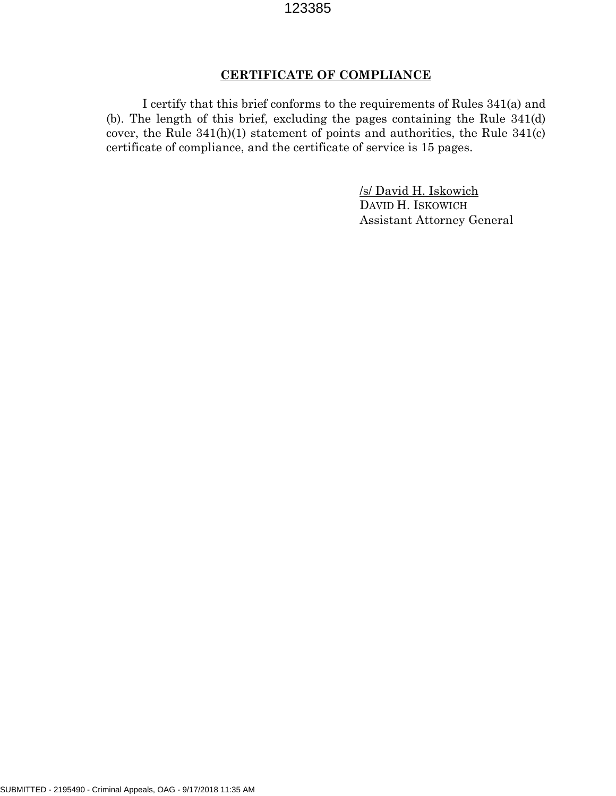## **CERTIFICATE OF COMPLIANCE**

I certify that this brief conforms to the requirements of Rules 341(a) and (b). The length of this brief, excluding the pages containing the Rule 341(d) cover, the Rule 341(h)(1) statement of points and authorities, the Rule 341(c) certificate of compliance, and the certificate of service is 15 pages.

> /s/ David H. Iskowich DAVID H. ISKOWICH Assistant Attorney General